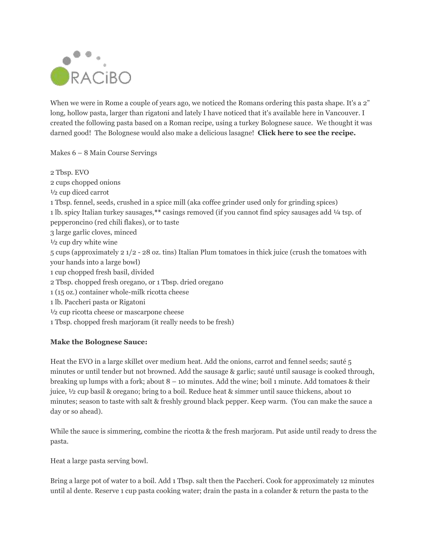

When we were in Rome a couple of years ago, we noticed the Romans ordering this pasta shape. It's a 2" long, hollow pasta, larger than rigatoni and lately I have noticed that it's available here in Vancouver. I created the following pasta based on a Roman recipe, using a turkey Bolognese sauce. We thought it was darned good! The Bolognese would also make a delicious lasagne! **Click here to see the recipe.**

Makes 6 – 8 Main Course Servings

2 Tbsp. EVO 2 cups chopped onions ½ cup diced carrot 1 Tbsp. fennel, seeds, crushed in a spice mill (aka coffee grinder used only for grinding spices) 1 lb. spicy Italian turkey sausages,**\*\*** casings removed (if you cannot find spicy sausages add ¼ tsp. of pepperoncino (red chili flakes), or to taste 3 large garlic cloves, minced ½ cup dry white wine 5 cups (approximately 2 1/2 - 28 oz. tins) Italian Plum tomatoes in thick juice (crush the tomatoes with your hands into a large bowl) 1 cup chopped fresh basil, divided 2 Tbsp. chopped fresh oregano, or 1 Tbsp. dried oregano 1 (15 oz.) container whole-milk ricotta cheese 1 lb. Paccheri pasta or Rigatoni ½ cup ricotta cheese or mascarpone cheese 1 Tbsp. chopped fresh marjoram (it really needs to be fresh)

## **Make the Bolognese Sauce:**

Heat the EVO in a large skillet over medium heat. Add the onions, carrot and fennel seeds; sauté 5 minutes or until tender but not browned. Add the sausage & garlic; sauté until sausage is cooked through, breaking up lumps with a fork; about 8 – 10 minutes. Add the wine; boil 1 minute. Add tomatoes & their juice, ½ cup basil & oregano; bring to a boil. Reduce heat & simmer until sauce thickens, about 10 minutes; season to taste with salt & freshly ground black pepper. Keep warm. (You can make the sauce a day or so ahead).

While the sauce is simmering, combine the ricotta & the fresh marjoram. Put aside until ready to dress the pasta.

Heat a large pasta serving bowl.

Bring a large pot of water to a boil. Add 1 Tbsp. salt then the Paccheri. Cook for approximately 12 minutes until al dente. Reserve 1 cup pasta cooking water; drain the pasta in a colander & return the pasta to the